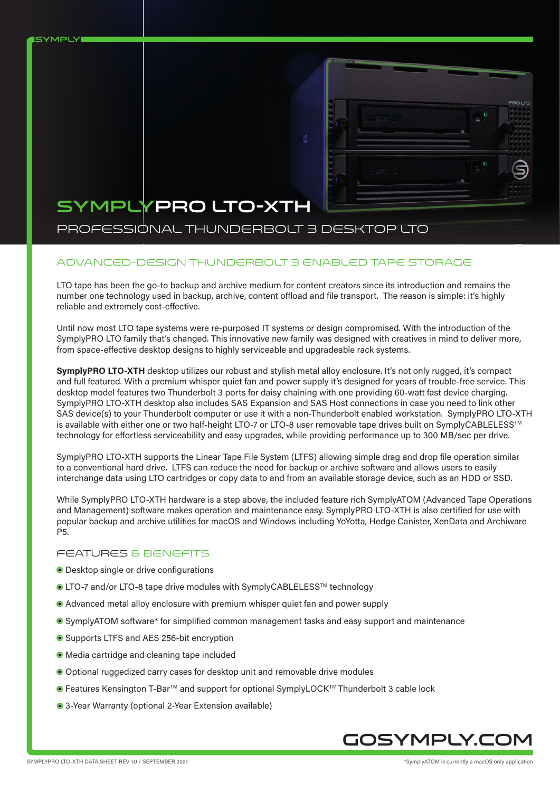

# SYMPLYPRO LTO-XTH

**ISYMPLY** 

# PROFESSIONAL THUNDERBOLT 3 DESKTOP LTO

## Advanced-design Thunderbolt 3 enabled tape storage

LTO tape has been the go-to backup and archive medium for content creators since its introduction and remains the number one technology used in backup, archive, content offload and file transport. The reason is simple: it's highly reliable and extremely cost-effective.

o

Until now most LTO tape systems were re-purposed IT systems or design compromised. With the introduction of the SymplyPRO LTO family that's changed. This innovative new family was designed with creatives in mind to deliver more, from space-effective desktop designs to highly serviceable and upgradeable rack systems.

**SymplyPRO LTO-XTH** desktop utilizes our robust and stylish metal alloy enclosure. It's not only rugged, it's compact and full featured. With a premium whisper quiet fan and power supply it's designed for years of trouble-free service. This desktop model features two Thunderbolt 3 ports for daisy chaining with one providing 60-watt fast device charging. SymplyPRO LTO-XTH desktop also includes SAS Expansion and SAS Host connections in case you need to link other SAS device(s) to your Thunderbolt computer or use it with a non-Thunderbolt enabled workstation. SymplyPRO LTO-XTH is available with either one or two half-height LTO-7 or LTO-8 user removable tape drives built on SymplyCABLELESS™ technology for effortless serviceability and easy upgrades, while providing performance up to 300 MB/sec per drive.

SymplyPRO LTO-XTH supports the Linear Tape File System (LTFS) allowing simple drag and drop file operation similar to a conventional hard drive. LTFS can reduce the need for backup or archive software and allows users to easily interchange data using LTO cartridges or copy data to and from an available storage device, such as an HDD or SSD.

While SymplyPRO LTO-XTH hardware is a step above, the included feature rich SymplyATOM (Advanced Tape Operations and Management) software makes operation and maintenance easy. SymplyPRO LTO-XTH is also certified for use with popular backup and archive utilities for macOS and Windows including YoYotta, Hedge Canister, XenData and Archiware P5.

#### FEATURES & BENEFITS

- Desktop single or drive configurations
- LTO-7 and/or LTO-8 tape drive modules with SymplyCABLELESS™ technology
- Advanced metal alloy enclosure with premium whisper quiet fan and power supply
- SymplyATOM software\* for simplified common management tasks and easy support and maintenance
- Supports LTFS and AES 256-bit encryption
- Media cartridge and cleaning tape included
- Optional ruggedized carry cases for desktop unit and removable drive modules
- **Features Kensington T-Bar**<sup>™</sup> and support for optional SymplyLOCK<sup>™</sup> Thunderbolt 3 cable lock
- 3-Year Warranty (optional 2-Year Extension available)